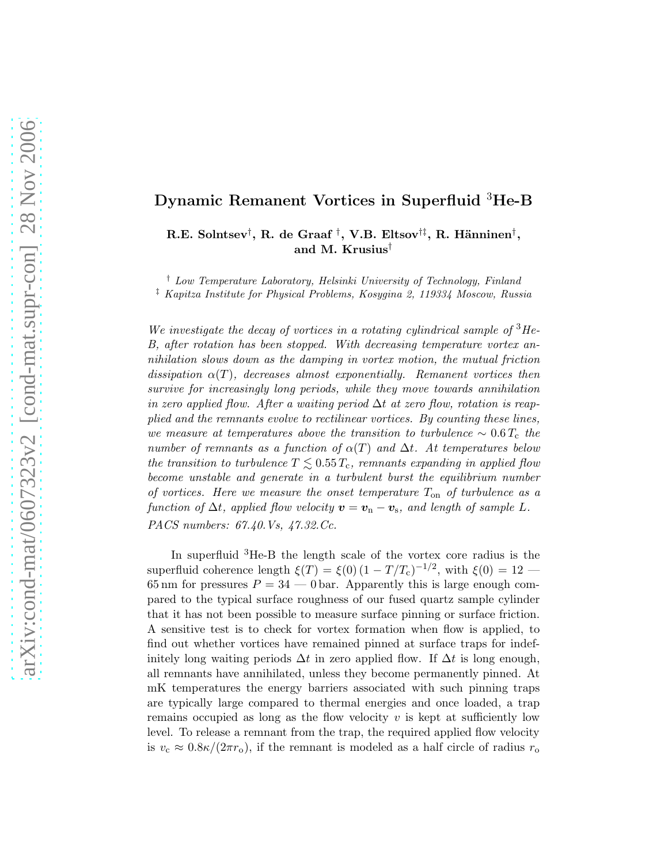# Dynamic Remanent Vortices in Superfluid <sup>3</sup>He-B

 $\rm R.E.~Solntsev^{\dagger},~R.~de~Graaf~^{\dagger},~V.B.~Eltsov^{\dagger\ddagger},~R.~Hänninen^{\dagger},$ and M. Krusius†

† *Low Temperature Laboratory, Helsinki University of Technology, Finland*

‡ *Kapitza Institute for Physical Problems, Kosygina 2, 119334 Moscow, Russia*

*We investigate the decay of vortices in a rotating cylindrical sample of* <sup>3</sup>*He-B, after rotation has been stopped. With decreasing temperature vortex annihilation slows down as the damping in vortex motion, the mutual friction dissipation* α(T)*, decreases almost exponentially. Remanent vortices then survive for increasingly long periods, while they move towards annihilation in zero applied flow. After a waiting period* ∆t *at zero flow, rotation is reapplied and the remnants evolve to rectilinear vortices. By counting these lines, we measure at temperatures above the transition to turbulence*  $\sim 0.6 T_c$  *the number of remnants as a function of*  $\alpha(T)$  *and*  $\Delta t$ *. At temperatures below the transition to turbulence*  $T \lesssim 0.55 T_c$ , remnants expanding in applied flow *become unstable and generate in a turbulent burst the equilibrium number of vortices. Here we measure the onset temperature* Ton *of turbulence as a function of*  $\Delta t$ *, applied flow velocity*  $\mathbf{v} = \mathbf{v}_n - \mathbf{v}_s$ *, and length of sample* L. *PACS numbers: 67.40.Vs, 47.32.Cc.*

In superfluid <sup>3</sup>He-B the length scale of the vortex core radius is the superfluid coherence length  $\xi(T) = \xi(0) (1 - T/T_c)^{-1/2}$ , with  $\xi(0) = 12$  — 65 nm for pressures  $P = 34 - 0$  bar. Apparently this is large enough compared to the typical surface roughness of our fused quartz sample cylinder that it has not been possible to measure surface pinning or surface friction. A sensitive test is to check for vortex formation when flow is applied, to find out whether vortices have remained pinned at surface traps for indefinitely long waiting periods  $\Delta t$  in zero applied flow. If  $\Delta t$  is long enough, all remnants have annihilated, unless they become permanently pinned. At mK temperatures the energy barriers associated with such pinning traps are typically large compared to thermal energies and once loaded, a trap remains occupied as long as the flow velocity  $v$  is kept at sufficiently low level. To release a remnant from the trap, the required applied flow velocity is  $v_c \approx 0.8\kappa/(2\pi r_o)$ , if the remnant is modeled as a half circle of radius  $r_o$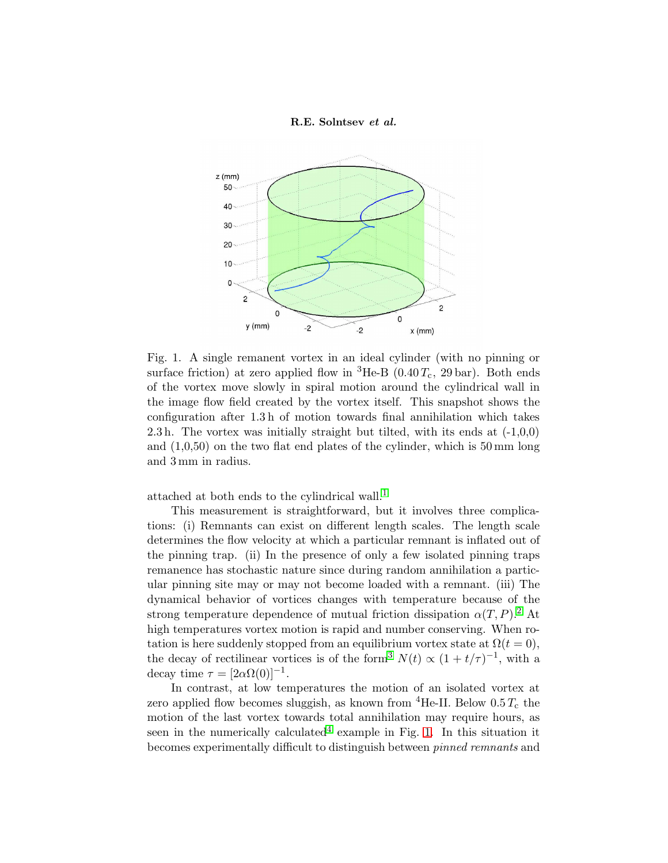### R.E. Solntsev et al.



<span id="page-1-0"></span>Fig. 1. A single remanent vortex in an ideal cylinder (with no pinning or surface friction) at zero applied flow in  ${}^{3}$ He-B (0.40  $T_c$ , 29 bar). Both ends of the vortex move slowly in spiral motion around the cylindrical wall in the image flow field created by the vortex itself. This snapshot shows the configuration after 1.3 h of motion towards final annihilation which takes 2.3 h. The vortex was initially straight but tilted, with its ends at  $(-1,0,0)$ and (1,0,50) on the two flat end plates of the cylinder, which is 50 mm long and 3 mm in radius.

attached at both ends to the cylindrical wall.[1](#page-5-0)

This measurement is straightforward, but it involves three complications: (i) Remnants can exist on different length scales. The length scale determines the flow velocity at which a particular remnant is inflated out of the pinning trap. (ii) In the presence of only a few isolated pinning traps remanence has stochastic nature since during random annihilation a particular pinning site may or may not become loaded with a remnant. (iii) The dynamical behavior of vortices changes with temperature because of the strong temperature dependence of mutual friction dissipation  $\alpha(T, P)$ .<sup>[2](#page-5-1)</sup> At high temperatures vortex motion is rapid and number conserving. When rotation is here suddenly stopped from an equilibrium vortex state at  $\Omega(t=0)$ , the decay of rectilinear vortices is of the form<sup>[3](#page-5-2)</sup>  $N(t) \propto (1 + t/\tau)^{-1}$ , with a decay time  $\tau = [2\alpha \Omega(0)]^{-1}$ .

In contrast, at low temperatures the motion of an isolated vortex at zero applied flow becomes sluggish, as known from <sup>4</sup>He-II. Below  $0.5 T_c$  the motion of the last vortex towards total annihilation may require hours, as seen in the numerically calculated<sup>[4](#page-5-3)</sup> example in Fig. [1.](#page-1-0) In this situation it becomes experimentally difficult to distinguish between *pinned remnants* and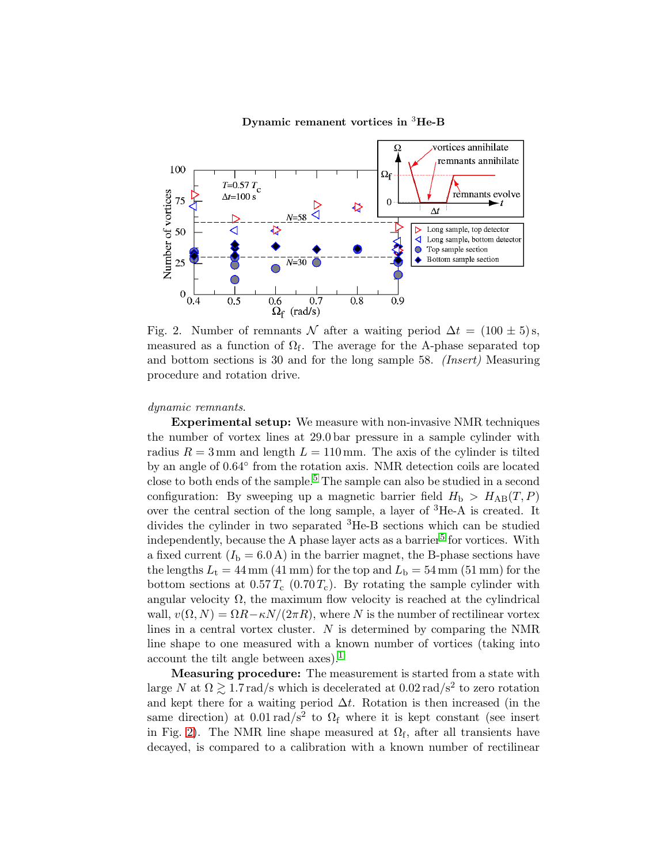## Dynamic remanent vortices in <sup>3</sup>He-B



<span id="page-2-0"></span>Fig. 2. Number of remnants N after a waiting period  $\Delta t = (100 \pm 5)$  s, measured as a function of  $\Omega_f$ . The average for the A-phase separated top and bottom sections is 30 and for the long sample 58. *(Insert)* Measuring procedure and rotation drive.

## *dynamic remnants*.

Experimental setup: We measure with non-invasive NMR techniques the number of vortex lines at 29.0 bar pressure in a sample cylinder with radius  $R = 3$  mm and length  $L = 110$  mm. The axis of the cylinder is tilted by an angle of 0.64◦ from the rotation axis. NMR detection coils are located close to both ends of the sample.[5](#page-5-4) The sample can also be studied in a second configuration: By sweeping up a magnetic barrier field  $H<sub>b</sub> > H<sub>AB</sub>(T, P)$ over the central section of the long sample, a layer of <sup>3</sup>He-A is created. It divides the cylinder in two separated <sup>3</sup>He-B sections which can be studied independently, because the A phase layer acts as a barrier<sup>[5](#page-5-4)</sup> for vortices. With a fixed current  $(I_b = 6.0 \text{ A})$  in the barrier magnet, the B-phase sections have the lengths  $L_t = 44$  mm (41 mm) for the top and  $L_b = 54$  mm (51 mm) for the bottom sections at  $0.57 T_c$  (0.70  $T_c$ ). By rotating the sample cylinder with angular velocity  $\Omega$ , the maximum flow velocity is reached at the cylindrical wall,  $v(\Omega, N) = \Omega R - \kappa N/(2\pi R)$ , where N is the number of rectilinear vortex lines in a central vortex cluster. N is determined by comparing the NMR line shape to one measured with a known number of vortices (taking into account the tilt angle between axes).<sup>[1](#page-5-0)</sup>

Measuring procedure: The measurement is started from a state with large N at  $\Omega \gtrsim 1.7 \,\text{rad/s}$  which is decelerated at  $0.02 \,\text{rad/s}^2$  to zero rotation and kept there for a waiting period  $\Delta t$ . Rotation is then increased (in the same direction) at  $0.01 \text{ rad/s}^2$  to  $\Omega_f$  where it is kept constant (see insert in Fig. [2\)](#page-2-0). The NMR line shape measured at  $\Omega_f$ , after all transients have decayed, is compared to a calibration with a known number of rectilinear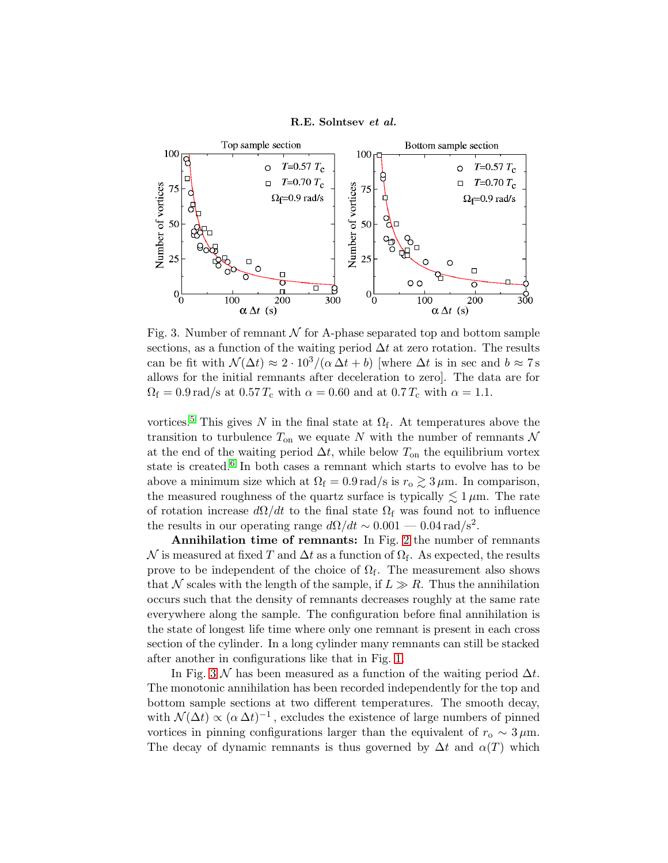#### R.E. Solntsev et al.



<span id="page-3-0"></span>Fig. 3. Number of remnant  $\mathcal N$  for A-phase separated top and bottom sample sections, as a function of the waiting period  $\Delta t$  at zero rotation. The results can be fit with  $\mathcal{N}(\Delta t) \approx 2 \cdot 10^3 / (\alpha \Delta t + b)$  [where  $\Delta t$  is in sec and  $b \approx 7$  s allows for the initial remnants after deceleration to zero]. The data are for  $\Omega_{\rm f} = 0.9\, \mathrm{rad/s}$  at  $0.57\, T_{\rm c}$  with  $\alpha=0.60$  and at  $0.7\, T_{\rm c}$  with  $\alpha=1.1.$ 

vortices.<sup>[5](#page-5-4)</sup> This gives N in the final state at  $\Omega_{\rm f}$ . At temperatures above the transition to turbulence  $T_{on}$  we equate N with the number of remnants N at the end of the waiting period  $\Delta t$ , while below  $T_{on}$  the equilibrium vortex state is created.<sup>[6](#page-5-5)</sup> In both cases a remnant which starts to evolve has to be above a minimum size which at  $\Omega_f = 0.9 \text{ rad/s}$  is  $r_o \gtrsim 3 \mu \text{m}$ . In comparison, the measured roughness of the quartz surface is typically  $\lesssim 1 \,\mu\text{m}$ . The rate of rotation increase  $d\Omega/dt$  to the final state  $\Omega_f$  was found not to influence the results in our operating range  $d\Omega/dt \sim 0.001 - 0.04 \text{ rad/s}^2$ .

Annihilation time of remnants: In Fig. [2](#page-2-0) the number of remnants  $\mathcal N$  is measured at fixed  $T$  and  $\Delta t$  as a function of  $\Omega_{\mathrm{f}}$ . As expected, the results prove to be independent of the choice of  $\Omega_{\rm f}$ . The measurement also shows that N scales with the length of the sample, if  $L \gg R$ . Thus the annihilation occurs such that the density of remnants decreases roughly at the same rate everywhere along the sample. The configuration before final annihilation is the state of longest life time where only one remnant is present in each cross section of the cylinder. In a long cylinder many remnants can still be stacked after another in configurations like that in Fig. [1.](#page-1-0)

In Fig. [3](#page-3-0)  $\mathcal N$  has been measured as a function of the waiting period  $\Delta t$ . The monotonic annihilation has been recorded independently for the top and bottom sample sections at two different temperatures. The smooth decay, with  $\mathcal{N}(\Delta t) \propto (\alpha \Delta t)^{-1}$ , excludes the existence of large numbers of pinned vortices in pinning configurations larger than the equivalent of  $r_0 \sim 3 \mu m$ . The decay of dynamic remnants is thus governed by  $\Delta t$  and  $\alpha(T)$  which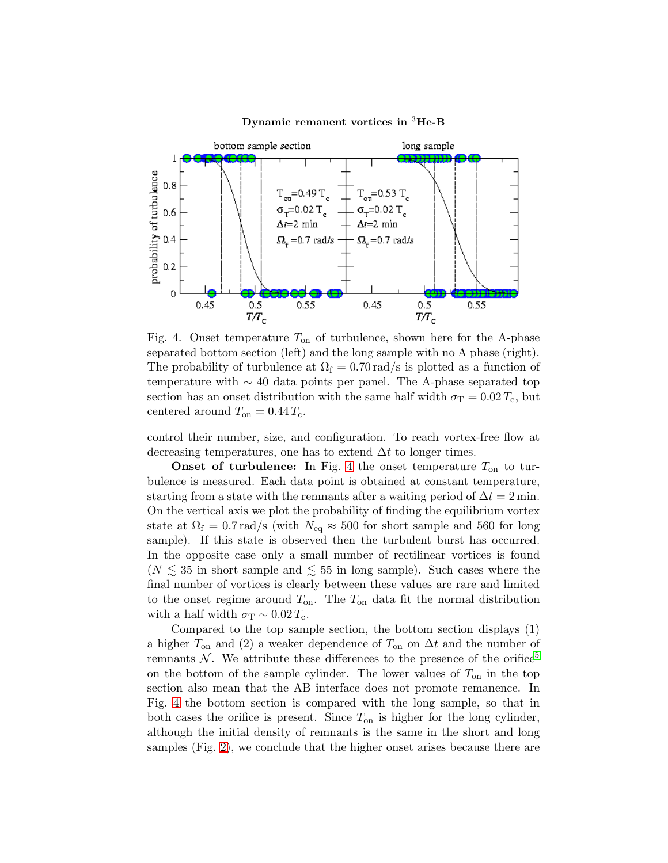# Dynamic remanent vortices in <sup>3</sup>He-B



<span id="page-4-0"></span>Fig. 4. Onset temperature  $T_{on}$  of turbulence, shown here for the A-phase separated bottom section (left) and the long sample with no A phase (right). The probability of turbulence at  $\Omega_f = 0.70 \,\text{rad/s}$  is plotted as a function of temperature with ∼ 40 data points per panel. The A-phase separated top section has an onset distribution with the same half width  $\sigma_{\rm T} = 0.02 T_{\rm c}$ , but centered around  $T_{on} = 0.44 T_c$ .

control their number, size, and configuration. To reach vortex-free flow at decreasing temperatures, one has to extend  $\Delta t$  to longer times.

**Onset of turbulence:** In Fig. [4](#page-4-0) the onset temperature  $T_{on}$  to turbulence is measured. Each data point is obtained at constant temperature, starting from a state with the remnants after a waiting period of  $\Delta t = 2 \text{ min}$ . On the vertical axis we plot the probability of finding the equilibrium vortex state at  $\Omega_{\rm f} = 0.7 \,\text{rad/s}$  (with  $N_{\text{eq}} \approx 500$  for short sample and 560 for long sample). If this state is observed then the turbulent burst has occurred. In the opposite case only a small number of rectilinear vortices is found  $(N \leq 35$  in short sample and  $\leq 55$  in long sample). Such cases where the final number of vortices is clearly between these values are rare and limited to the onset regime around  $T_{on}$ . The  $T_{on}$  data fit the normal distribution with a half width  $\sigma_{\rm T} \sim 0.02 T_{\rm c}$ .

Compared to the top sample section, the bottom section displays (1) a higher  $T_{on}$  and (2) a weaker dependence of  $T_{on}$  on  $\Delta t$  and the number of remnants  $\mathcal N$ . We attribute these differences to the presence of the orifice<sup>[5](#page-5-4)</sup> on the bottom of the sample cylinder. The lower values of  $T_{on}$  in the top section also mean that the AB interface does not promote remanence. In Fig. [4](#page-4-0) the bottom section is compared with the long sample, so that in both cases the orifice is present. Since  $T_{on}$  is higher for the long cylinder, although the initial density of remnants is the same in the short and long samples (Fig. [2\)](#page-2-0), we conclude that the higher onset arises because there are